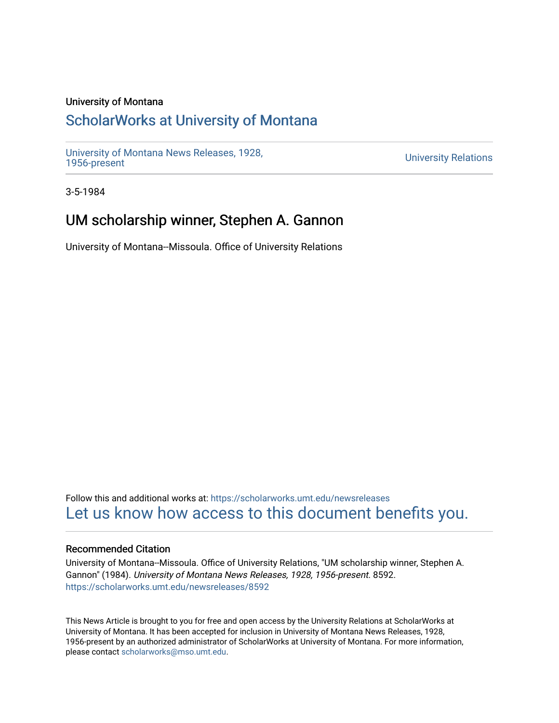## University of Montana

## [ScholarWorks at University of Montana](https://scholarworks.umt.edu/)

[University of Montana News Releases, 1928,](https://scholarworks.umt.edu/newsreleases) 

**University Relations** 

3-5-1984

## UM scholarship winner, Stephen A. Gannon

University of Montana--Missoula. Office of University Relations

Follow this and additional works at: [https://scholarworks.umt.edu/newsreleases](https://scholarworks.umt.edu/newsreleases?utm_source=scholarworks.umt.edu%2Fnewsreleases%2F8592&utm_medium=PDF&utm_campaign=PDFCoverPages) [Let us know how access to this document benefits you.](https://goo.gl/forms/s2rGfXOLzz71qgsB2) 

## Recommended Citation

University of Montana--Missoula. Office of University Relations, "UM scholarship winner, Stephen A. Gannon" (1984). University of Montana News Releases, 1928, 1956-present. 8592. [https://scholarworks.umt.edu/newsreleases/8592](https://scholarworks.umt.edu/newsreleases/8592?utm_source=scholarworks.umt.edu%2Fnewsreleases%2F8592&utm_medium=PDF&utm_campaign=PDFCoverPages) 

This News Article is brought to you for free and open access by the University Relations at ScholarWorks at University of Montana. It has been accepted for inclusion in University of Montana News Releases, 1928, 1956-present by an authorized administrator of ScholarWorks at University of Montana. For more information, please contact [scholarworks@mso.umt.edu.](mailto:scholarworks@mso.umt.edu)